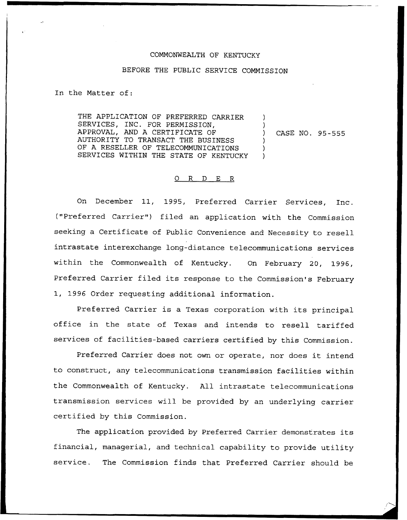## COMMONWEALTH OF KENTUCKY

## BEFORE THE PUBLIC SERVICE COMMISSION

In the Matter of:

THE APPLICATION OF PREFERRED CARRIER SERVICES, INC. FOR PERMISSION, APPROVAL, AND A CERTIFICATE OF AUTHORITY TO TRANSACT THE BUSINESS OF A RESELLER OF TELECOMMUNICATIONS SERVICES WITHIN THE STATE OF KENTUCKY ) ) ) ) )

) CASE NO. 95-555

## 0 R <sup>D</sup> E R

On December 11, 1995, Preferred Carrier Services, Inc. ("Preferred Carrier") filed an application with the Commission seeking a Certificate of Public Convenience and Necessity to resell intrastate interexchange long-distance telecommunications services within the Commonwealth of Kentucky. On February 20, 1996, Preferred Carrier filed its response to the Commission's February 1, 1996 Order requesting additional information.

Preferred Carrier is a Texas corporation with its principal office in the state of Texas and intends to resell tariffed services of facilities-based carriers certified by this Commission.

Preferred Carrier does not own or operate, nor does it intend to construct, any telecommunications transmission facilities within the Commonwealth of Kentucky. All intrastate telecommunications transmission services will be provided by an underlying carrier certified by this Commission.

The application provided by Preferred Carrier demonstrates its financial, managerial, and technical capability to provide utility service. The Commission finds that Preferred Carrier should be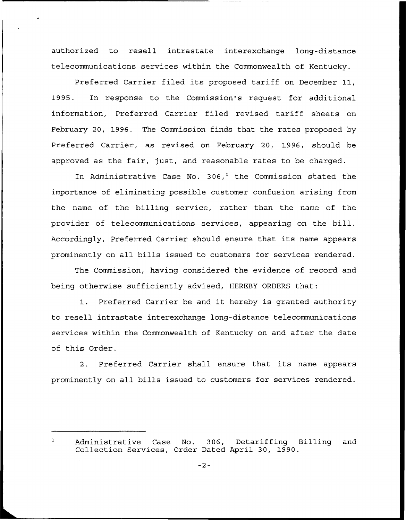authorized to resell intrastate interexchange long-distance telecommunications services within the Commonwealth of Kentucky.

Preferred Carrier filed its proposed tariff on December 11, 1995. In response to the Commission's request for additional information, Preferred Carrier filed revised tariff sheets on February 20, 1996. The Commission finds that the rates proposed by Preferred Carrier, as revised on February 20, 1996, should be approved as the fair, just, and reasonable rates to be charged.

In Administrative Case No.  $306<sup>1</sup>$  the Commission stated the importance of eliminating possible customer confusion arising from the name of the billing service, rather than the name of the provider of telecommunications services, appearing on the bill. Accordingly, Preferred Carrier should ensure that its name appears prominently on all bills issued to customers for services rendered.

The Commission, having considered the evidence of record and being otherwise sufficiently advised, HEREBY ORDERS that:

1. Preferred Carrier be and it hereby is granted authority to resell intrastate interexchange long-distance telecommunications services within the Commonwealth of Kentucky on and after the date of this Order.

2. Preferred Carrier shall ensure that its name appears prominently on all bills issued to customers for services rendered.

Administrative Case No. 306, Detariffing Billing and  $\mathbf{1}$ Collection Services, Order Dated April 30, 1990.